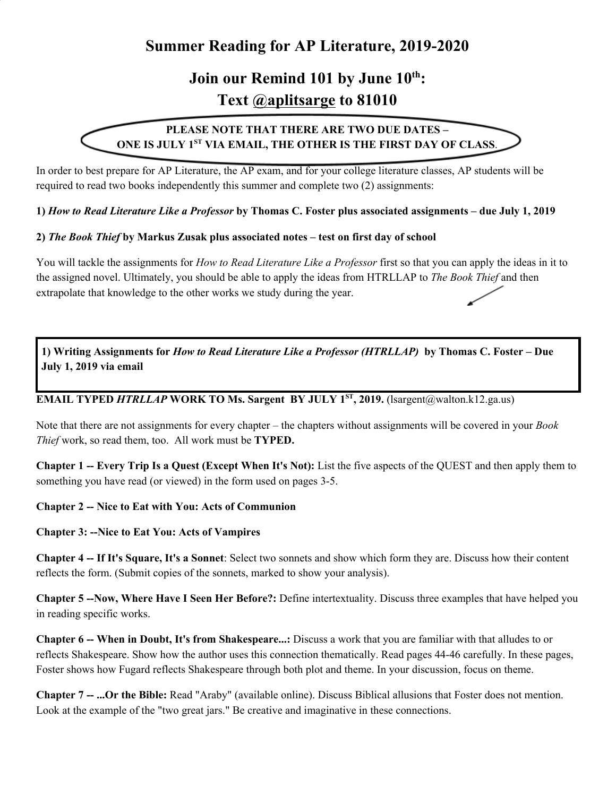## **Summer Reading for AP Literature, 2019-2020**

# **Join our Remind 101 by June 10 th : Text @aplitsarge to 81010**

## **PLEASE NOTE THAT THERE ARE TWO DUE DATES – ONE IS JULY 1 ST VIA EMAIL, THE OTHER IS THE FIRST DAY OF CLASS**.

In order to best prepare for AP Literature, the AP exam, and for your college literature classes, AP students will be required to read two books independently this summer and complete two (2) assignments:

1) How to Read Literature Like a Professor by Thomas C. Foster plus associated assignments – due July 1, 2019

#### **2)** *The Book Thief* **by Markus Zusak plus associated notes – test on first day of school**

You will tackle the assignments for *How to Read Literature Like a Professor* first so that you can apply the ideas in it to the assigned novel. Ultimately, you should be able to apply the ideas from HTRLLAP to *The Book Thief* and then extrapolate that knowledge to the other works we study during the year.

1) Writing Assignments for How to Read Literature Like a Professor (HTRLLAP) by Thomas C. Foster – Due **July 1, 2019 via email**

#### **EMAIL TYPED** *HTRLLAP* **WORK TO Ms. Sargent BY JULY 1 ST , 2019.** (lsargent@walton.k12.ga.us)

Note that there are not assignments for every chapter – the chapters without assignments will be covered in your *Book Thief* work, so read them, too. All work must be **TYPED.**

**Chapter 1 -- Every Trip Is a Quest (Except When It's Not):** List the five aspects of the QUEST and then apply them to something you have read (or viewed) in the form used on pages 3-5.

#### **Chapter 2 -- Nice to Eat with You: Acts of Communion**

#### **Chapter 3: --Nice to Eat You: Acts of Vampires**

**Chapter 4 -- If It's Square, It's a Sonnet**: Select two sonnets and show which form they are. Discuss how their content reflects the form. (Submit copies of the sonnets, marked to show your analysis).

**Chapter 5 --Now, Where Have I Seen Her Before?:** Define intertextuality. Discuss three examples that have helped you in reading specific works.

**Chapter 6 -- When in Doubt, It's from Shakespeare...:** Discuss a work that you are familiar with that alludes to or reflects Shakespeare. Show how the author uses this connection thematically. Read pages 44-46 carefully. In these pages, Foster shows how Fugard reflects Shakespeare through both plot and theme. In your discussion, focus on theme.

**Chapter 7 -- ...Or the Bible:** Read "Araby" (available online). Discuss Biblical allusions that Foster does not mention. Look at the example of the "two great jars." Be creative and imaginative in these connections.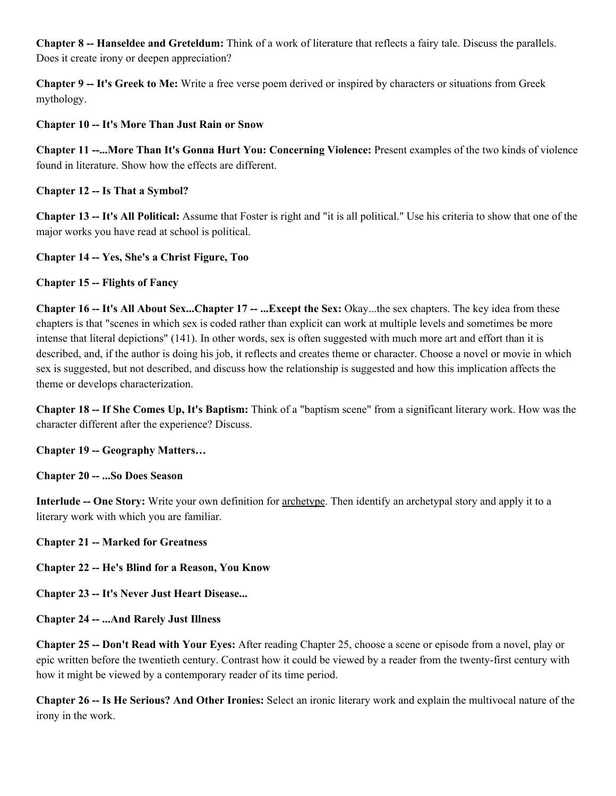**Chapter 8 -- Hanseldee and Greteldum:** Think of a work of literature that reflects a fairy tale. Discuss the parallels. Does it create irony or deepen appreciation?

**Chapter 9 -- It's Greek to Me:** Write a free verse poem derived or inspired by characters or situations from Greek mythology.

### **Chapter 10 -- It's More Than Just Rain or Snow**

**Chapter 11 --...More Than It's Gonna Hurt You: Concerning Violence:** Present examples of the two kinds of violence found in literature. Show how the effects are different.

## **Chapter 12 -- Is That a Symbol?**

**Chapter 13 -- It's All Political:** Assume that Foster is right and "it is all political." Use his criteria to show that one of the major works you have read at school is political.

## **Chapter 14 -- Yes, She's a Christ Figure, Too**

## **Chapter 15 -- Flights of Fancy**

**Chapter 16 -- It's All About Sex...Chapter 17 -- ...Except the Sex:** Okay...the sex chapters. The key idea from these chapters is that "scenes in which sex is coded rather than explicit can work at multiple levels and sometimes be more intense that literal depictions" (141). In other words, sex is often suggested with much more art and effort than it is described, and, if the author is doing his job, it reflects and creates theme or character. Choose a novel or movie in which sex is suggested, but not described, and discuss how the relationship is suggested and how this implication affects the theme or develops characterization.

**Chapter 18 -- If She Comes Up, It's Baptism:** Think of a "baptism scene" from a significant literary work. How was the character different after the experience? Discuss.

**Chapter 19 -- Geography Matters…**

**Chapter 20 -- ...So Does Season**

**Interlude -- One Story:** Write your own definition for archetype. Then identify an archetypal story and apply it to a literary work with which you are familiar.

**Chapter 21 -- Marked for Greatness**

**Chapter 22 -- He's Blind for a Reason, You Know**

**Chapter 23 -- It's Never Just Heart Disease...**

**Chapter 24 -- ...And Rarely Just Illness**

**Chapter 25 -- Don't Read with Your Eyes:** After reading Chapter 25, choose a scene or episode from a novel, play or epic written before the twentieth century. Contrast how it could be viewed by a reader from the twenty-first century with how it might be viewed by a contemporary reader of its time period.

**Chapter 26 -- Is He Serious? And Other Ironies:** Select an ironic literary work and explain the multivocal nature of the irony in the work.